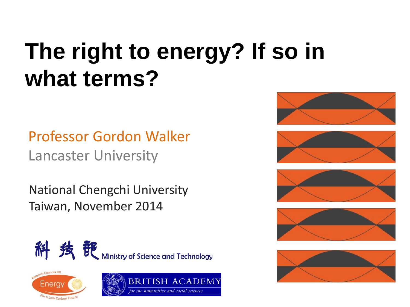# **The right to energy? If so in what terms?**

Professor Gordon Walker Lancaster University

National Chengchi University Taiwan, November 2014















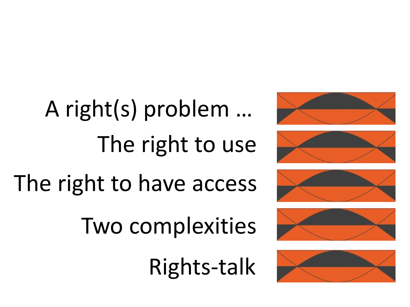The right to use A right(s) problem …

# The right to have access

Two complexities

Rights-talk









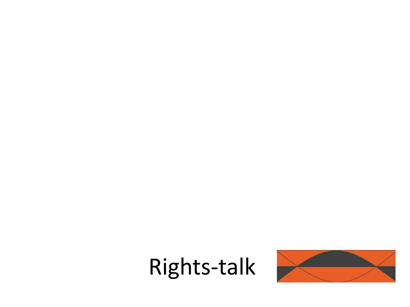

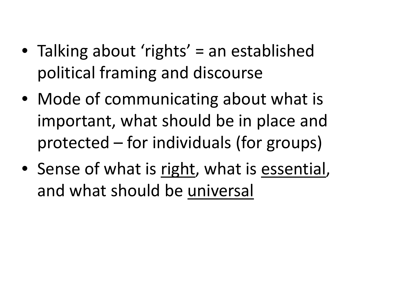- Talking about 'rights' = an established political framing and discourse
- Mode of communicating about what is important, what should be in place and protected – for individuals (for groups)
- Sense of what is right, what is essential, and what should be universal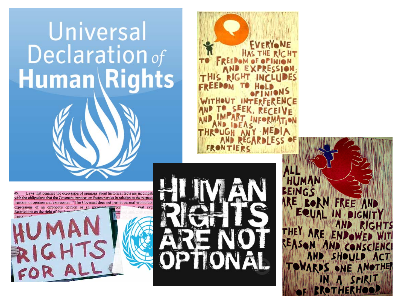## Universal Declaration of **Human\Rights**

Laws that penalize the expression of opinions about historical facts are incomp with the obligations that the Covenant imposes on States parties in relation to the respect freedom of opinion and expression.<sup>116</sup> The Covenant does not permit general prohibition expressions of an erroneous opinion or an incom Restrictions on the right of freed

**FRON** 

**FVERY®** 

ARE Be **FREE AND** DRN EQUAL IN DIGNIT **RIGHTS THE Y** CONCCIENC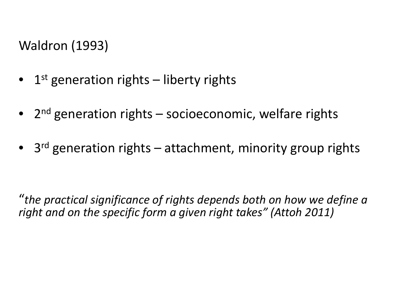Waldron (1993)

- 1st generation rights liberty rights
- 2<sup>nd</sup> generation rights socioeconomic, welfare rights
- $3<sup>rd</sup>$  generation rights attachment, minority group rights

"*the practical significance of rights depends both on how we define a right and on the specific form a given right takes" (Attoh 2011)*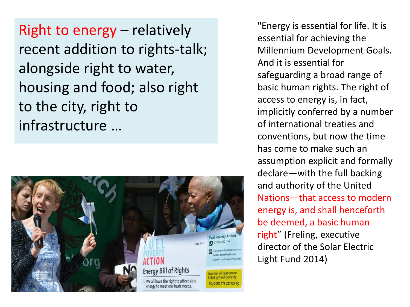Right to energy – relatively recent addition to rights-talk; alongside right to water, housing and food; also right to the city, right to infrastructure …



"Energy is essential for life. It is essential for achieving the Millennium Development Goals. And it is essential for safeguarding a broad range of basic human rights. The right of access to energy is, in fact, implicitly conferred by a number of international treaties and conventions, but now the time has come to make such an assumption explicit and formally declare—with the full backing and authority of the United Nations—that access to modern energy is, and shall henceforth be deemed, a basic human right" (Freling, executive director of the Solar Electric Light Fund 2014)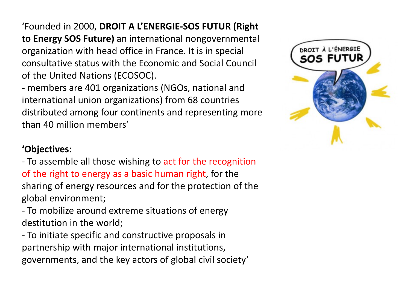'Founded in 2000, **DROIT A L'ENERGIE-SOS FUTUR (Right to Energy SOS Future)** an international nongovernmental organization with head office in France. It is in special consultative status with the Economic and Social Council of the United Nations (ECOSOC).

- members are 401 organizations (NGOs, national and international union organizations) from 68 countries distributed among four continents and representing more than 40 million members'

#### **'Objectives:**

- To assemble all those wishing to act for the recognition of the right to energy as a basic human right, for the sharing of energy resources and for the protection of the global environment;

- To mobilize around extreme situations of energy destitution in the world;

- To initiate specific and constructive proposals in partnership with major international institutions, governments, and the key actors of global civil society'

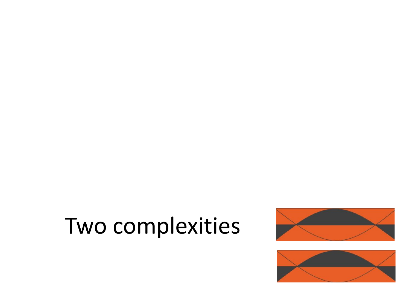### Two complexities



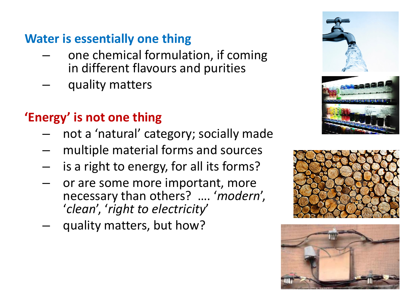#### **Water is essentially one thing**

- one chemical formulation, if coming in different flavours and purities
- quality matters

### **'Energy' is not one thing**

- not a 'natural' category; socially made
- multiple material forms and sources
- is a right to energy, for all its forms?
- or are some more important, more necessary than others? …. '*modern*', '*clean*', '*right to electricity*'
- quality matters, but how?





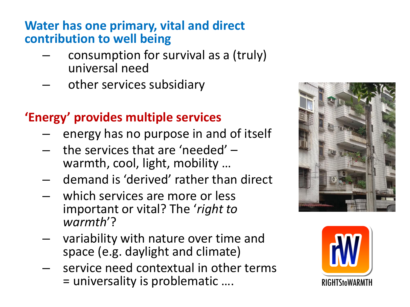#### **Water has one primary, vital and direct contribution to well being**

- consumption for survival as a (truly) universal need
- other services subsidiary

#### **'Energy' provides multiple services**

- energy has no purpose in and of itself
- the services that are 'needed' warmth, cool, light, mobility …
- demand is 'derived' rather than direct
- which services are more or less important or vital? The '*right to warmth*'?
- variability with nature over time and space (e.g. daylight and climate)
- service need contextual in other terms = universality is problematic ….



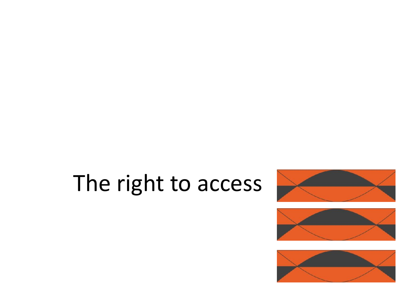### The right to access





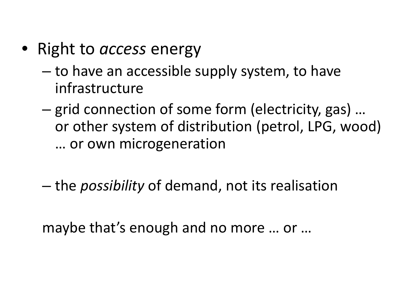- Right to *access* energy
	- to have an accessible supply system, to have infrastructure
	- grid connection of some form (electricity, gas) … or other system of distribution (petrol, LPG, wood) … or own microgeneration
	- the *possibility* of demand, not its realisation

maybe that's enough and no more … or …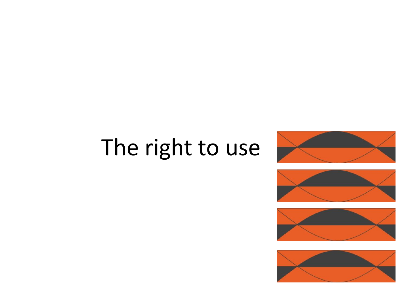### The right to use







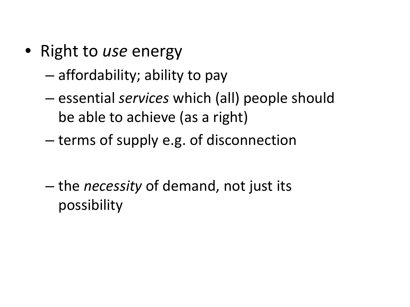- Right to *use* energy
	- affordability; ability to pay
	- essential *services* which (all) people should be able to achieve (as a right)
	- terms of supply e.g. of disconnection
	- the *necessity* of demand, not just its possibility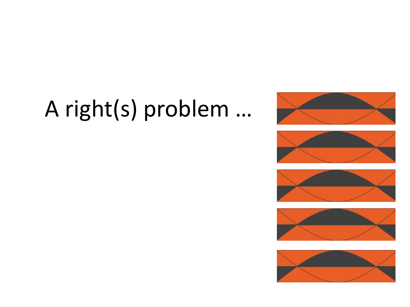## A right(s) problem …









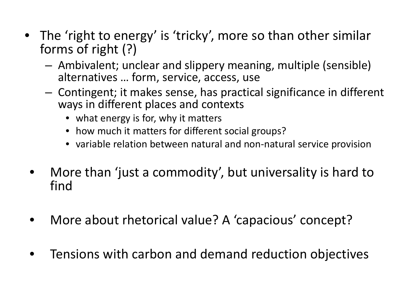- The 'right to energy' is 'tricky', more so than other similar forms of right (?)
	- Ambivalent; unclear and slippery meaning, multiple (sensible) alternatives … form, service, access, use
	- Contingent; it makes sense, has practical significance in different ways in different places and contexts
		- what energy is for, why it matters
		- how much it matters for different social groups?
		- variable relation between natural and non-natural service provision
	- More than 'just a commodity', but universality is hard to find
	- More about rhetorical value? A 'capacious' concept?
	- Tensions with carbon and demand reduction objectives